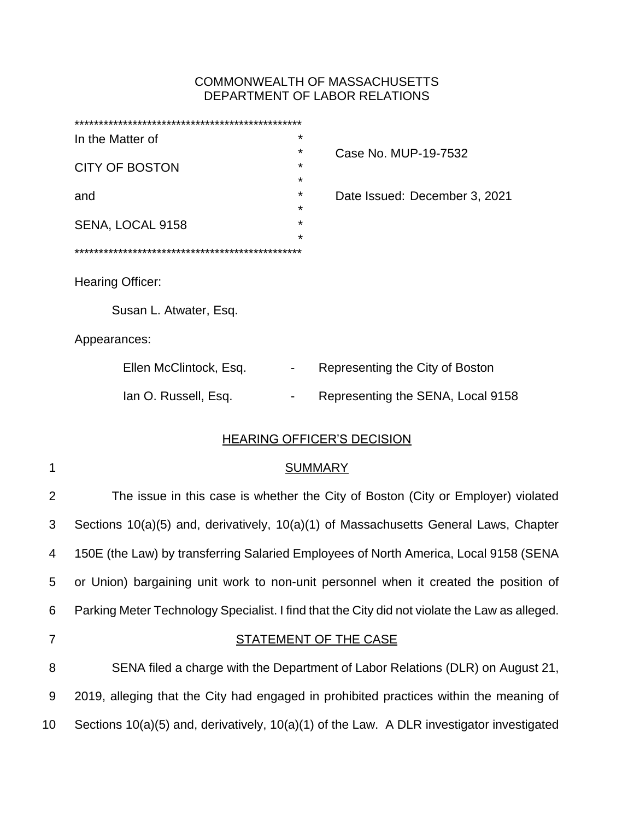# COMMONWEALTH OF MASSACHUSETTS DEPARTMENT OF LABOR RELATIONS

| In the Matter of |                        | *       |                                   |  |  |
|------------------|------------------------|---------|-----------------------------------|--|--|
|                  |                        | ¥       | Case No. MUP-19-7532              |  |  |
|                  | <b>CITY OF BOSTON</b>  | *       |                                   |  |  |
|                  |                        | ¥       |                                   |  |  |
| and              |                        | *<br>¥  | Date Issued: December 3, 2021     |  |  |
|                  | SENA, LOCAL 9158       | ¥       |                                   |  |  |
|                  |                        | $\star$ |                                   |  |  |
|                  |                        |         |                                   |  |  |
|                  |                        |         |                                   |  |  |
| Hearing Officer: |                        |         |                                   |  |  |
|                  |                        |         |                                   |  |  |
|                  | Susan L. Atwater, Esq. |         |                                   |  |  |
| Appearances:     |                        |         |                                   |  |  |
|                  | Ellen McClintock, Esq. |         | Representing the City of Boston   |  |  |
|                  | Ian O. Russell, Esq.   |         | Representing the SENA, Local 9158 |  |  |
|                  |                        |         |                                   |  |  |

# HEARING OFFICER'S DECISION

| ٦ |  |
|---|--|
| ٧ |  |
|   |  |
|   |  |
|   |  |
|   |  |

# **SUMMARY**

 The issue in this case is whether the City of Boston (City or Employer) violated Sections 10(a)(5) and, derivatively, 10(a)(1) of Massachusetts General Laws, Chapter 150E (the Law) by transferring Salaried Employees of North America, Local 9158 (SENA or Union) bargaining unit work to non-unit personnel when it created the position of Parking Meter Technology Specialist. I find that the City did not violate the Law as alleged. STATEMENT OF THE CASE

8 SENA filed a charge with the Department of Labor Relations (DLR) on August 21, 9 2019, alleging that the City had engaged in prohibited practices within the meaning of 10 Sections 10(a)(5) and, derivatively, 10(a)(1) of the Law. A DLR investigator investigated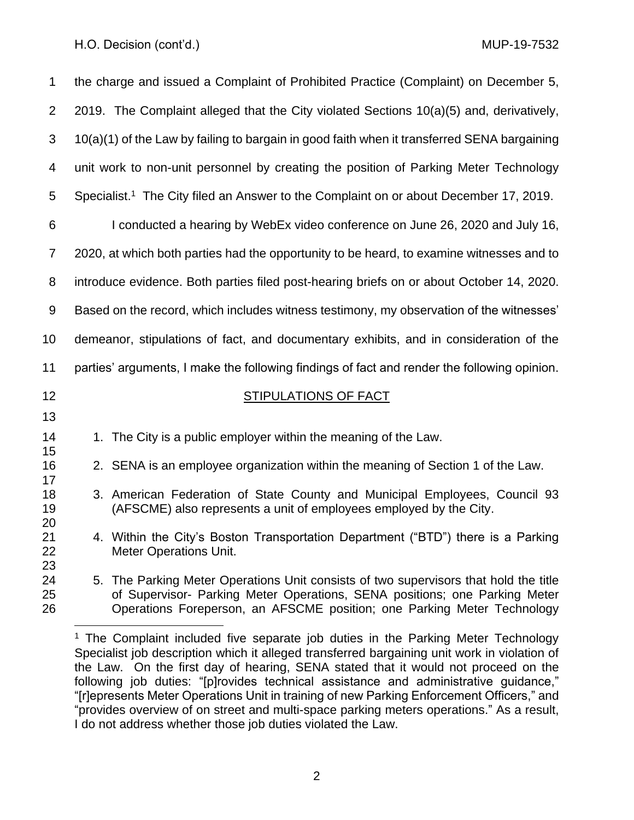| $\mathbf 1$          | the charge and issued a Complaint of Prohibited Practice (Complaint) on December 5,                                                                                                                                                           |  |  |  |
|----------------------|-----------------------------------------------------------------------------------------------------------------------------------------------------------------------------------------------------------------------------------------------|--|--|--|
| 2                    | 2019. The Complaint alleged that the City violated Sections 10(a)(5) and, derivatively,                                                                                                                                                       |  |  |  |
| 3                    | 10(a)(1) of the Law by failing to bargain in good faith when it transferred SENA bargaining                                                                                                                                                   |  |  |  |
| 4                    | unit work to non-unit personnel by creating the position of Parking Meter Technology                                                                                                                                                          |  |  |  |
| 5                    | Specialist. <sup>1</sup> The City filed an Answer to the Complaint on or about December 17, 2019.                                                                                                                                             |  |  |  |
| 6                    | I conducted a hearing by WebEx video conference on June 26, 2020 and July 16,                                                                                                                                                                 |  |  |  |
| $\overline{7}$       | 2020, at which both parties had the opportunity to be heard, to examine witnesses and to                                                                                                                                                      |  |  |  |
| 8                    | introduce evidence. Both parties filed post-hearing briefs on or about October 14, 2020.                                                                                                                                                      |  |  |  |
| 9                    | Based on the record, which includes witness testimony, my observation of the witnesses'                                                                                                                                                       |  |  |  |
| 10                   | demeanor, stipulations of fact, and documentary exhibits, and in consideration of the                                                                                                                                                         |  |  |  |
| 11                   | parties' arguments, I make the following findings of fact and render the following opinion.                                                                                                                                                   |  |  |  |
| 12                   | <b>STIPULATIONS OF FACT</b>                                                                                                                                                                                                                   |  |  |  |
| 13                   |                                                                                                                                                                                                                                               |  |  |  |
| 14<br>15             | 1. The City is a public employer within the meaning of the Law.                                                                                                                                                                               |  |  |  |
| 16<br>17             | 2. SENA is an employee organization within the meaning of Section 1 of the Law.                                                                                                                                                               |  |  |  |
| 18<br>19<br>20       | 3. American Federation of State County and Municipal Employees, Council 93<br>(AFSCME) also represents a unit of employees employed by the City.                                                                                              |  |  |  |
| 21<br>22             | 4. Within the City's Boston Transportation Department ("BTD") there is a Parking<br><b>Meter Operations Unit.</b>                                                                                                                             |  |  |  |
| 23<br>24<br>25<br>26 | 5. The Parking Meter Operations Unit consists of two supervisors that hold the title<br>of Supervisor- Parking Meter Operations, SENA positions; one Parking Meter<br>Operations Foreperson, an AFSCME position; one Parking Meter Technology |  |  |  |

<sup>&</sup>lt;sup>1</sup> The Complaint included five separate job duties in the Parking Meter Technology Specialist job description which it alleged transferred bargaining unit work in violation of the Law. On the first day of hearing, SENA stated that it would not proceed on the following job duties: "[p]rovides technical assistance and administrative guidance," "[r]epresents Meter Operations Unit in training of new Parking Enforcement Officers," and "provides overview of on street and multi-space parking meters operations." As a result, I do not address whether those job duties violated the Law.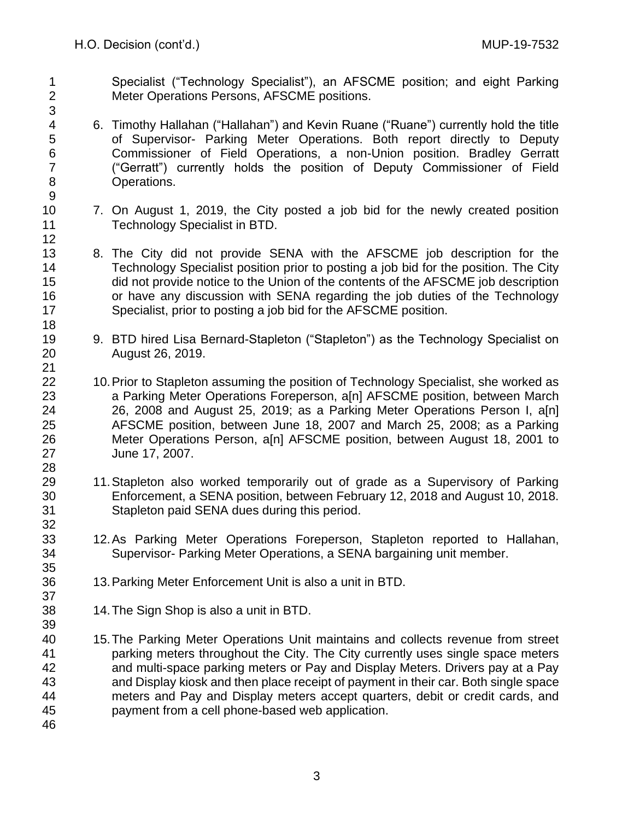- Specialist ("Technology Specialist"), an AFSCME position; and eight Parking Meter Operations Persons, AFSCME positions.
- 6. Timothy Hallahan ("Hallahan") and Kevin Ruane ("Ruane") currently hold the title of Supervisor- Parking Meter Operations. Both report directly to Deputy Commissioner of Field Operations, a non-Union position. Bradley Gerratt ("Gerratt") currently holds the position of Deputy Commissioner of Field Operations.
- 7. On August 1, 2019, the City posted a job bid for the newly created position Technology Specialist in BTD.
- 8. The City did not provide SENA with the AFSCME job description for the Technology Specialist position prior to posting a job bid for the position. The City did not provide notice to the Union of the contents of the AFSCME job description or have any discussion with SENA regarding the job duties of the Technology Specialist, prior to posting a job bid for the AFSCME position.
- 9. BTD hired Lisa Bernard-Stapleton ("Stapleton") as the Technology Specialist on August 26, 2019.
- 22 10. Prior to Stapleton assuming the position of Technology Specialist, she worked as a Parking Meter Operations Foreperson, a[n] AFSCME position, between March 26, 2008 and August 25, 2019; as a Parking Meter Operations Person I, a[n] AFSCME position, between June 18, 2007 and March 25, 2008; as a Parking Meter Operations Person, a[n] AFSCME position, between August 18, 2001 to June 17, 2007.
- 11.Stapleton also worked temporarily out of grade as a Supervisory of Parking Enforcement, a SENA position, between February 12, 2018 and August 10, 2018. Stapleton paid SENA dues during this period.
- 12.As Parking Meter Operations Foreperson, Stapleton reported to Hallahan, Supervisor- Parking Meter Operations, a SENA bargaining unit member.
- 13.Parking Meter Enforcement Unit is also a unit in BTD.
- 14.The Sign Shop is also a unit in BTD.
- 15.The Parking Meter Operations Unit maintains and collects revenue from street parking meters throughout the City. The City currently uses single space meters and multi-space parking meters or Pay and Display Meters. Drivers pay at a Pay and Display kiosk and then place receipt of payment in their car. Both single space meters and Pay and Display meters accept quarters, debit or credit cards, and payment from a cell phone-based web application.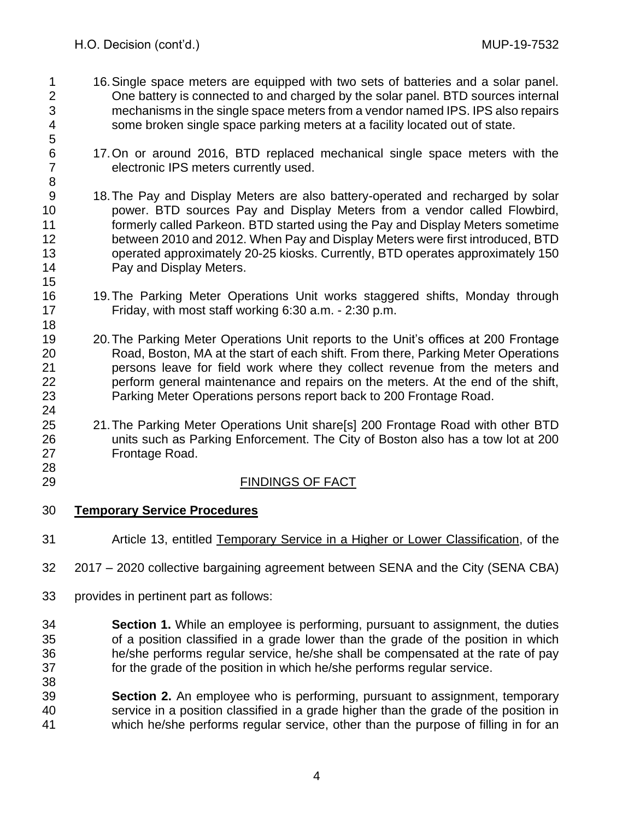- 16.Single space meters are equipped with two sets of batteries and a solar panel. One battery is connected to and charged by the solar panel. BTD sources internal mechanisms in the single space meters from a vendor named IPS. IPS also repairs some broken single space parking meters at a facility located out of state.
- 17.On or around 2016, BTD replaced mechanical single space meters with the electronic IPS meters currently used.
- 18.The Pay and Display Meters are also battery-operated and recharged by solar power. BTD sources Pay and Display Meters from a vendor called Flowbird, formerly called Parkeon. BTD started using the Pay and Display Meters sometime between 2010 and 2012. When Pay and Display Meters were first introduced, BTD operated approximately 20-25 kiosks. Currently, BTD operates approximately 150 Pay and Display Meters.
- 19.The Parking Meter Operations Unit works staggered shifts, Monday through Friday, with most staff working 6:30 a.m. - 2:30 p.m.
- 20.The Parking Meter Operations Unit reports to the Unit's offices at 200 Frontage Road, Boston, MA at the start of each shift. From there, Parking Meter Operations persons leave for field work where they collect revenue from the meters and perform general maintenance and repairs on the meters. At the end of the shift, Parking Meter Operations persons report back to 200 Frontage Road.
- 21.The Parking Meter Operations Unit share[s] 200 Frontage Road with other BTD units such as Parking Enforcement. The City of Boston also has a tow lot at 200 Frontage Road.
- 

# 29 FINDINGS OF FACT

- **Temporary Service Procedures**
- Article 13, entitled Temporary Service in a Higher or Lower Classification, of the
- 2017 2020 collective bargaining agreement between SENA and the City (SENA CBA)
- provides in pertinent part as follows:
- **Section 1.** While an employee is performing, pursuant to assignment, the duties of a position classified in a grade lower than the grade of the position in which he/she performs regular service, he/she shall be compensated at the rate of pay for the grade of the position in which he/she performs regular service.
- **Section 2.** An employee who is performing, pursuant to assignment, temporary service in a position classified in a grade higher than the grade of the position in which he/she performs regular service, other than the purpose of filling in for an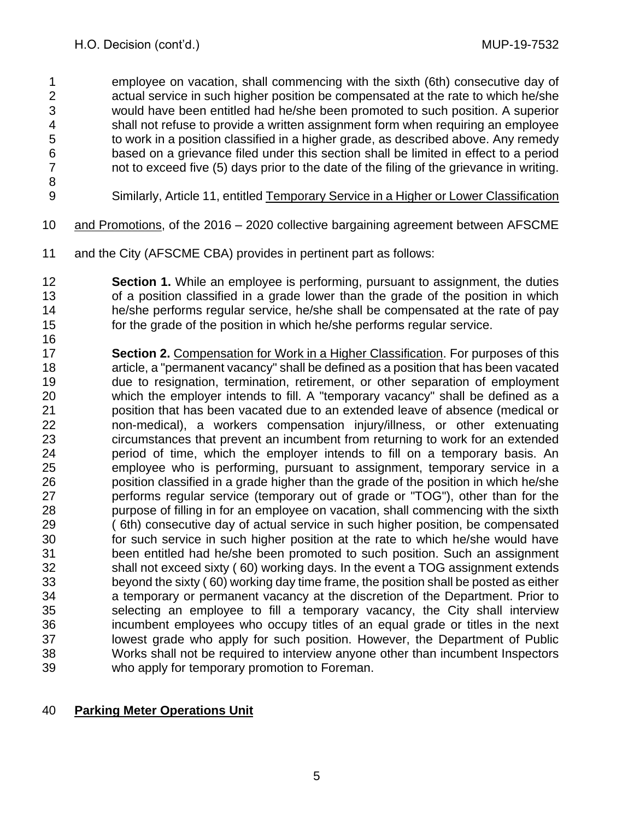employee on vacation, shall commencing with the sixth (6th) consecutive day of actual service in such higher position be compensated at the rate to which he/she would have been entitled had he/she been promoted to such position. A superior shall not refuse to provide a written assignment form when requiring an employee to work in a position classified in a higher grade, as described above. Any remedy 6 based on a grievance filed under this section shall be limited in effect to a period<br>7 hot to exceed five (5) days prior to the date of the filing of the grievance in writing. not to exceed five (5) days prior to the date of the filing of the grievance in writing.

Similarly, Article 11, entitled Temporary Service in a Higher or Lower Classification

- and Promotions, of the 2016 2020 collective bargaining agreement between AFSCME
- and the City (AFSCME CBA) provides in pertinent part as follows:
- **Section 1.** While an employee is performing, pursuant to assignment, the duties of a position classified in a grade lower than the grade of the position in which he/she performs regular service, he/she shall be compensated at the rate of pay for the grade of the position in which he/she performs regular service.
- **Section 2.** Compensation for Work in a Higher Classification. For purposes of this article, a "permanent vacancy" shall be defined as a position that has been vacated due to resignation, termination, retirement, or other separation of employment which the employer intends to fill. A "temporary vacancy" shall be defined as a position that has been vacated due to an extended leave of absence (medical or non-medical), a workers compensation injury/illness, or other extenuating circumstances that prevent an incumbent from returning to work for an extended period of time, which the employer intends to fill on a temporary basis. An employee who is performing, pursuant to assignment, temporary service in a position classified in a grade higher than the grade of the position in which he/she performs regular service (temporary out of grade or "TOG"), other than for the purpose of filling in for an employee on vacation, shall commencing with the sixth ( 6th) consecutive day of actual service in such higher position, be compensated for such service in such higher position at the rate to which he/she would have been entitled had he/she been promoted to such position. Such an assignment shall not exceed sixty ( 60) working days. In the event a TOG assignment extends beyond the sixty ( 60) working day time frame, the position shall be posted as either a temporary or permanent vacancy at the discretion of the Department. Prior to selecting an employee to fill a temporary vacancy, the City shall interview incumbent employees who occupy titles of an equal grade or titles in the next lowest grade who apply for such position. However, the Department of Public Works shall not be required to interview anyone other than incumbent Inspectors who apply for temporary promotion to Foreman.

# **Parking Meter Operations Unit**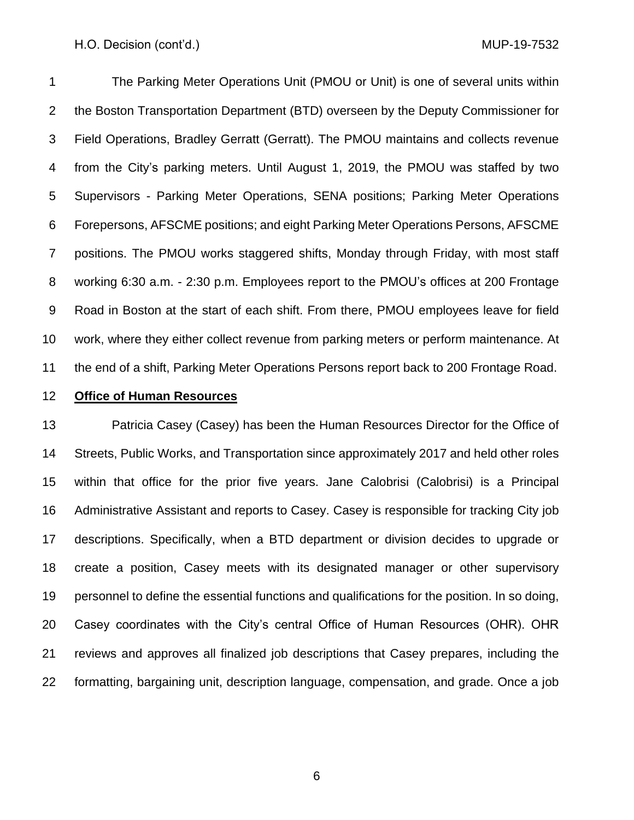The Parking Meter Operations Unit (PMOU or Unit) is one of several units within the Boston Transportation Department (BTD) overseen by the Deputy Commissioner for Field Operations, Bradley Gerratt (Gerratt). The PMOU maintains and collects revenue from the City's parking meters. Until August 1, 2019, the PMOU was staffed by two Supervisors - Parking Meter Operations, SENA positions; Parking Meter Operations Forepersons, AFSCME positions; and eight Parking Meter Operations Persons, AFSCME positions. The PMOU works staggered shifts, Monday through Friday, with most staff working 6:30 a.m. - 2:30 p.m. Employees report to the PMOU's offices at 200 Frontage Road in Boston at the start of each shift. From there, PMOU employees leave for field work, where they either collect revenue from parking meters or perform maintenance. At the end of a shift, Parking Meter Operations Persons report back to 200 Frontage Road.

## **Office of Human Resources**

 Patricia Casey (Casey) has been the Human Resources Director for the Office of Streets, Public Works, and Transportation since approximately 2017 and held other roles within that office for the prior five years. Jane Calobrisi (Calobrisi) is a Principal Administrative Assistant and reports to Casey. Casey is responsible for tracking City job descriptions. Specifically, when a BTD department or division decides to upgrade or create a position, Casey meets with its designated manager or other supervisory personnel to define the essential functions and qualifications for the position. In so doing, Casey coordinates with the City's central Office of Human Resources (OHR). OHR reviews and approves all finalized job descriptions that Casey prepares, including the formatting, bargaining unit, description language, compensation, and grade. Once a job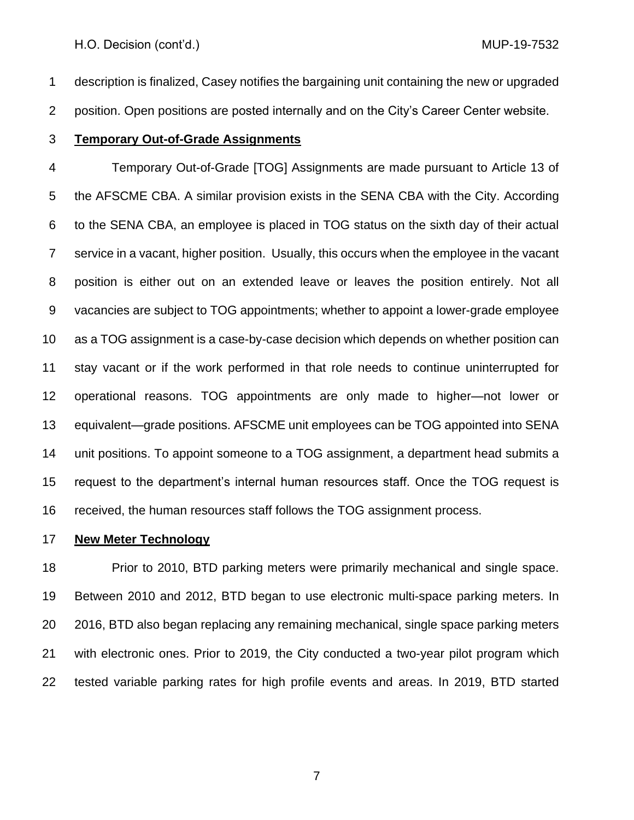description is finalized, Casey notifies the bargaining unit containing the new or upgraded position. Open positions are posted internally and on the City's Career Center website.

**Temporary Out-of-Grade Assignments**

 Temporary Out-of-Grade [TOG] Assignments are made pursuant to Article 13 of the AFSCME CBA. A similar provision exists in the SENA CBA with the City. According to the SENA CBA, an employee is placed in TOG status on the sixth day of their actual service in a vacant, higher position. Usually, this occurs when the employee in the vacant position is either out on an extended leave or leaves the position entirely. Not all vacancies are subject to TOG appointments; whether to appoint a lower-grade employee as a TOG assignment is a case-by-case decision which depends on whether position can stay vacant or if the work performed in that role needs to continue uninterrupted for operational reasons. TOG appointments are only made to higher—not lower or equivalent—grade positions. AFSCME unit employees can be TOG appointed into SENA unit positions. To appoint someone to a TOG assignment, a department head submits a request to the department's internal human resources staff. Once the TOG request is received, the human resources staff follows the TOG assignment process.

**New Meter Technology**

 Prior to 2010, BTD parking meters were primarily mechanical and single space. Between 2010 and 2012, BTD began to use electronic multi-space parking meters. In 2016, BTD also began replacing any remaining mechanical, single space parking meters with electronic ones. Prior to 2019, the City conducted a two-year pilot program which tested variable parking rates for high profile events and areas. In 2019, BTD started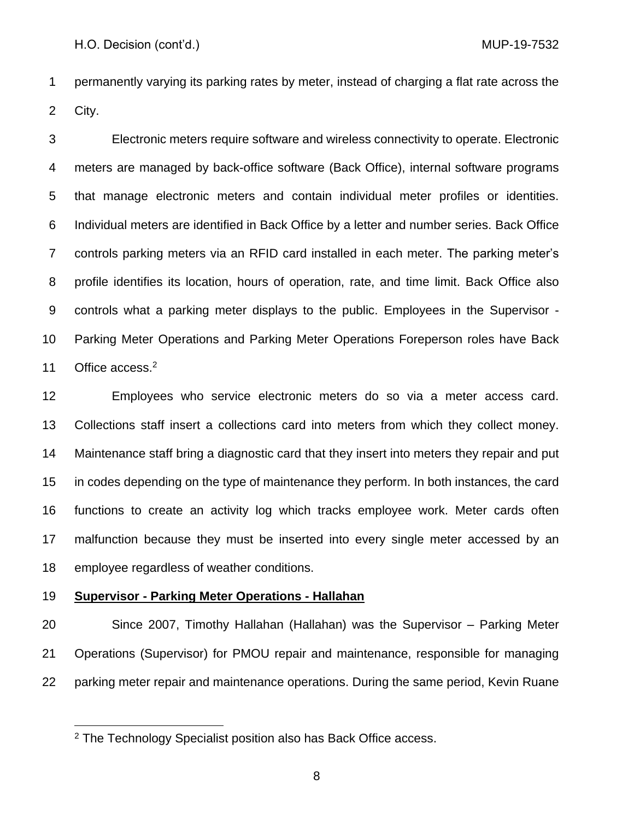permanently varying its parking rates by meter, instead of charging a flat rate across the City.

 Electronic meters require software and wireless connectivity to operate. Electronic meters are managed by back-office software (Back Office), internal software programs that manage electronic meters and contain individual meter profiles or identities. Individual meters are identified in Back Office by a letter and number series. Back Office controls parking meters via an RFID card installed in each meter. The parking meter's profile identifies its location, hours of operation, rate, and time limit. Back Office also controls what a parking meter displays to the public. Employees in the Supervisor - Parking Meter Operations and Parking Meter Operations Foreperson roles have Back 11 Office access.<sup>2</sup>

 Employees who service electronic meters do so via a meter access card. Collections staff insert a collections card into meters from which they collect money. Maintenance staff bring a diagnostic card that they insert into meters they repair and put in codes depending on the type of maintenance they perform. In both instances, the card functions to create an activity log which tracks employee work. Meter cards often malfunction because they must be inserted into every single meter accessed by an employee regardless of weather conditions.

## **Supervisor - Parking Meter Operations - Hallahan**

 Since 2007, Timothy Hallahan (Hallahan) was the Supervisor – Parking Meter Operations (Supervisor) for PMOU repair and maintenance, responsible for managing parking meter repair and maintenance operations. During the same period, Kevin Ruane

The Technology Specialist position also has Back Office access.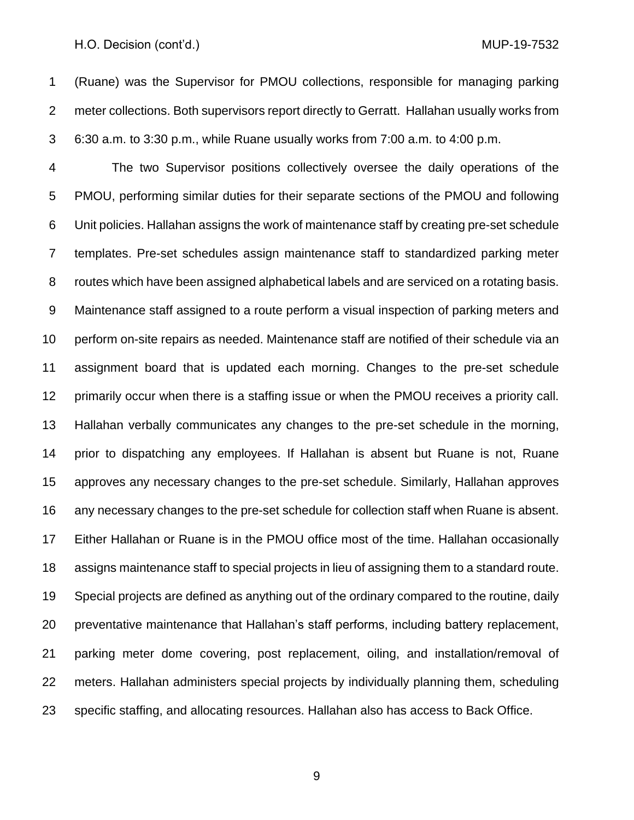(Ruane) was the Supervisor for PMOU collections, responsible for managing parking meter collections. Both supervisors report directly to Gerratt. Hallahan usually works from 6:30 a.m. to 3:30 p.m., while Ruane usually works from 7:00 a.m. to 4:00 p.m.

 The two Supervisor positions collectively oversee the daily operations of the PMOU, performing similar duties for their separate sections of the PMOU and following Unit policies. Hallahan assigns the work of maintenance staff by creating pre-set schedule templates. Pre-set schedules assign maintenance staff to standardized parking meter routes which have been assigned alphabetical labels and are serviced on a rotating basis. Maintenance staff assigned to a route perform a visual inspection of parking meters and perform on-site repairs as needed. Maintenance staff are notified of their schedule via an assignment board that is updated each morning. Changes to the pre-set schedule primarily occur when there is a staffing issue or when the PMOU receives a priority call. Hallahan verbally communicates any changes to the pre-set schedule in the morning, prior to dispatching any employees. If Hallahan is absent but Ruane is not, Ruane approves any necessary changes to the pre-set schedule. Similarly, Hallahan approves any necessary changes to the pre-set schedule for collection staff when Ruane is absent. Either Hallahan or Ruane is in the PMOU office most of the time. Hallahan occasionally assigns maintenance staff to special projects in lieu of assigning them to a standard route. Special projects are defined as anything out of the ordinary compared to the routine, daily preventative maintenance that Hallahan's staff performs, including battery replacement, parking meter dome covering, post replacement, oiling, and installation/removal of meters. Hallahan administers special projects by individually planning them, scheduling specific staffing, and allocating resources. Hallahan also has access to Back Office.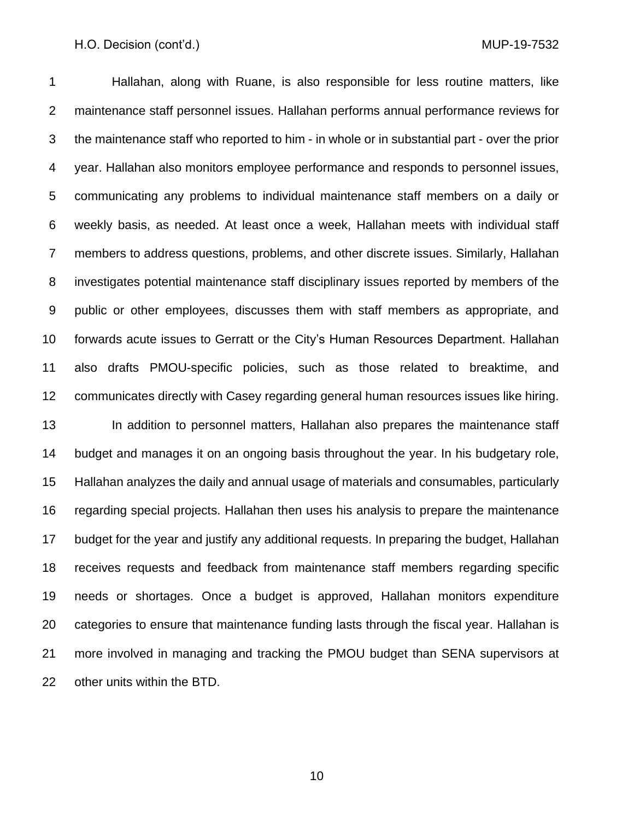Hallahan, along with Ruane, is also responsible for less routine matters, like maintenance staff personnel issues. Hallahan performs annual performance reviews for the maintenance staff who reported to him - in whole or in substantial part - over the prior year. Hallahan also monitors employee performance and responds to personnel issues, communicating any problems to individual maintenance staff members on a daily or weekly basis, as needed. At least once a week, Hallahan meets with individual staff members to address questions, problems, and other discrete issues. Similarly, Hallahan investigates potential maintenance staff disciplinary issues reported by members of the public or other employees, discusses them with staff members as appropriate, and forwards acute issues to Gerratt or the City's Human Resources Department. Hallahan also drafts PMOU-specific policies, such as those related to breaktime, and communicates directly with Casey regarding general human resources issues like hiring. 13 In addition to personnel matters, Hallahan also prepares the maintenance staff budget and manages it on an ongoing basis throughout the year. In his budgetary role, Hallahan analyzes the daily and annual usage of materials and consumables, particularly regarding special projects. Hallahan then uses his analysis to prepare the maintenance budget for the year and justify any additional requests. In preparing the budget, Hallahan receives requests and feedback from maintenance staff members regarding specific needs or shortages. Once a budget is approved, Hallahan monitors expenditure categories to ensure that maintenance funding lasts through the fiscal year. Hallahan is more involved in managing and tracking the PMOU budget than SENA supervisors at other units within the BTD.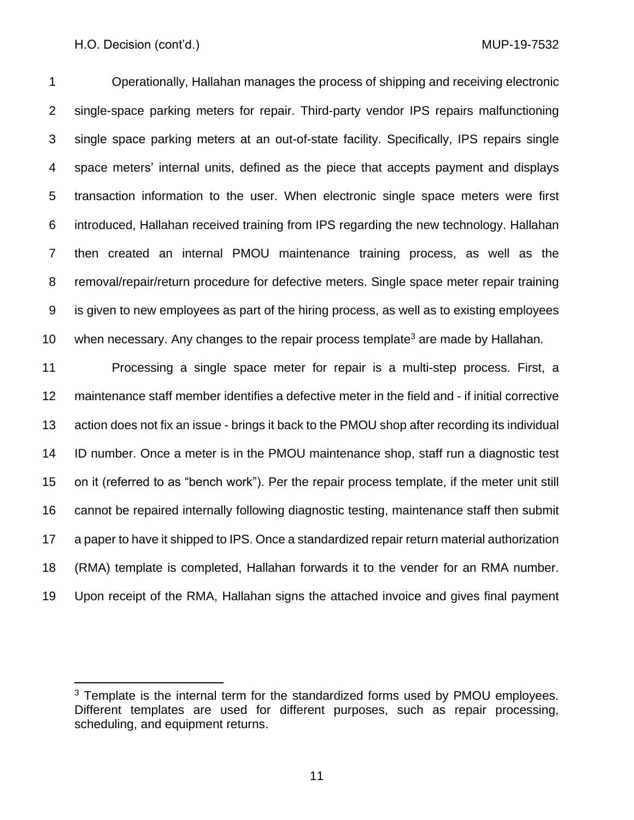Operationally, Hallahan manages the process of shipping and receiving electronic single-space parking meters for repair. Third-party vendor IPS repairs malfunctioning single space parking meters at an out-of-state facility. Specifically, IPS repairs single space meters' internal units, defined as the piece that accepts payment and displays transaction information to the user. When electronic single space meters were first introduced, Hallahan received training from IPS regarding the new technology. Hallahan then created an internal PMOU maintenance training process, as well as the removal/repair/return procedure for defective meters. Single space meter repair training is given to new employees as part of the hiring process, as well as to existing employees 10 when necessary. Any changes to the repair process template<sup>3</sup> are made by Hallahan.

 Processing a single space meter for repair is a multi-step process. First, a maintenance staff member identifies a defective meter in the field and - if initial corrective action does not fix an issue - brings it back to the PMOU shop after recording its individual ID number. Once a meter is in the PMOU maintenance shop, staff run a diagnostic test on it (referred to as "bench work"). Per the repair process template, if the meter unit still cannot be repaired internally following diagnostic testing, maintenance staff then submit a paper to have it shipped to IPS. Once a standardized repair return material authorization (RMA) template is completed, Hallahan forwards it to the vender for an RMA number. Upon receipt of the RMA, Hallahan signs the attached invoice and gives final payment

<sup>&</sup>lt;sup>3</sup> Template is the internal term for the standardized forms used by PMOU employees. Different templates are used for different purposes, such as repair processing, scheduling, and equipment returns.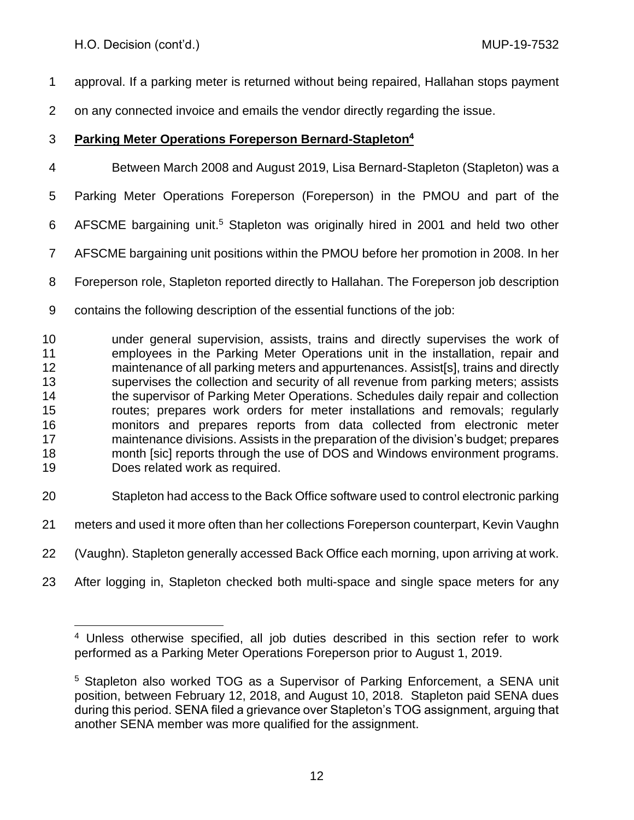approval. If a parking meter is returned without being repaired, Hallahan stops payment

on any connected invoice and emails the vendor directly regarding the issue.

# **Parking Meter Operations Foreperson Bernard-Stapleton<sup>4</sup>**

Between March 2008 and August 2019, Lisa Bernard-Stapleton (Stapleton) was a

Parking Meter Operations Foreperson (Foreperson) in the PMOU and part of the

- 6 AFSCME bargaining unit.<sup>5</sup> Stapleton was originally hired in 2001 and held two other
- AFSCME bargaining unit positions within the PMOU before her promotion in 2008. In her

Foreperson role, Stapleton reported directly to Hallahan. The Foreperson job description

contains the following description of the essential functions of the job:

 under general supervision, assists, trains and directly supervises the work of employees in the Parking Meter Operations unit in the installation, repair and maintenance of all parking meters and appurtenances. Assist[s], trains and directly supervises the collection and security of all revenue from parking meters; assists 14 the supervisor of Parking Meter Operations. Schedules daily repair and collection routes; prepares work orders for meter installations and removals; regularly monitors and prepares reports from data collected from electronic meter maintenance divisions. Assists in the preparation of the division's budget; prepares month [sic] reports through the use of DOS and Windows environment programs. Does related work as required.

- Stapleton had access to the Back Office software used to control electronic parking
- meters and used it more often than her collections Foreperson counterpart, Kevin Vaughn
- (Vaughn). Stapleton generally accessed Back Office each morning, upon arriving at work.
- After logging in, Stapleton checked both multi-space and single space meters for any

 Unless otherwise specified, all job duties described in this section refer to work performed as a Parking Meter Operations Foreperson prior to August 1, 2019.

 Stapleton also worked TOG as a Supervisor of Parking Enforcement, a SENA unit position, between February 12, 2018, and August 10, 2018. Stapleton paid SENA dues during this period. SENA filed a grievance over Stapleton's TOG assignment, arguing that another SENA member was more qualified for the assignment.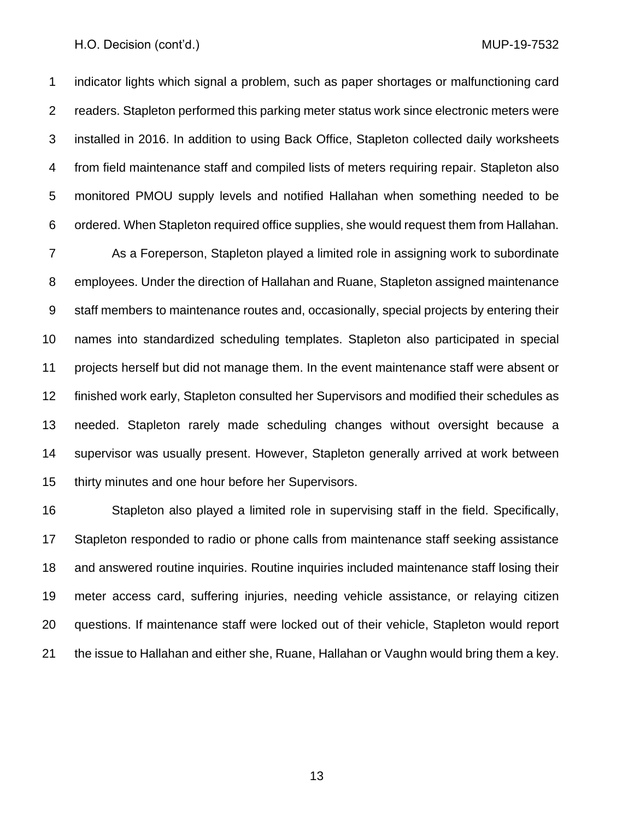indicator lights which signal a problem, such as paper shortages or malfunctioning card readers. Stapleton performed this parking meter status work since electronic meters were installed in 2016. In addition to using Back Office, Stapleton collected daily worksheets from field maintenance staff and compiled lists of meters requiring repair. Stapleton also monitored PMOU supply levels and notified Hallahan when something needed to be ordered. When Stapleton required office supplies, she would request them from Hallahan.

 As a Foreperson, Stapleton played a limited role in assigning work to subordinate employees. Under the direction of Hallahan and Ruane, Stapleton assigned maintenance staff members to maintenance routes and, occasionally, special projects by entering their names into standardized scheduling templates. Stapleton also participated in special projects herself but did not manage them. In the event maintenance staff were absent or finished work early, Stapleton consulted her Supervisors and modified their schedules as needed. Stapleton rarely made scheduling changes without oversight because a supervisor was usually present. However, Stapleton generally arrived at work between thirty minutes and one hour before her Supervisors.

 Stapleton also played a limited role in supervising staff in the field. Specifically, Stapleton responded to radio or phone calls from maintenance staff seeking assistance and answered routine inquiries. Routine inquiries included maintenance staff losing their meter access card, suffering injuries, needing vehicle assistance, or relaying citizen questions. If maintenance staff were locked out of their vehicle, Stapleton would report the issue to Hallahan and either she, Ruane, Hallahan or Vaughn would bring them a key.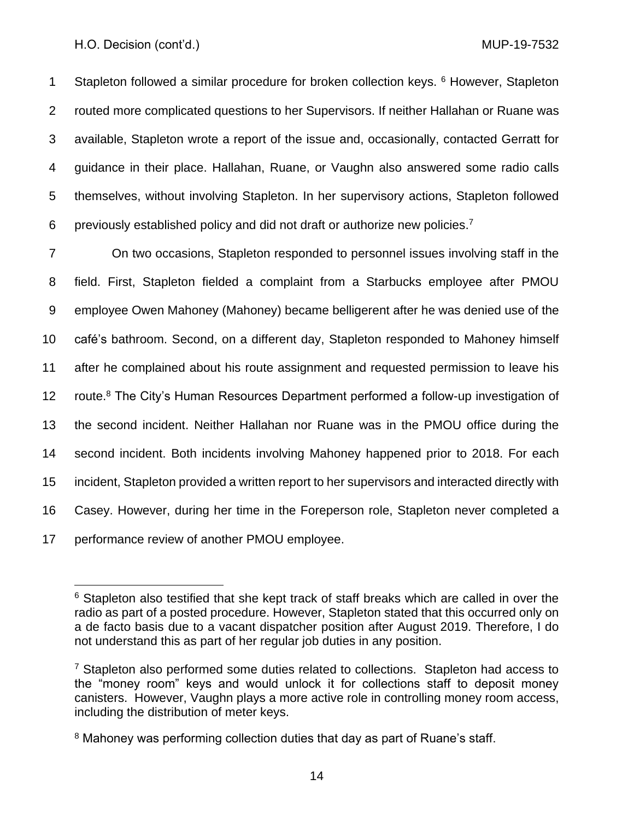1 Stapleton followed a similar procedure for broken collection keys. <sup>6</sup> However, Stapleton routed more complicated questions to her Supervisors. If neither Hallahan or Ruane was available, Stapleton wrote a report of the issue and, occasionally, contacted Gerratt for guidance in their place. Hallahan, Ruane, or Vaughn also answered some radio calls themselves, without involving Stapleton. In her supervisory actions, Stapleton followed 6 previously established policy and did not draft or authorize new policies.<sup>7</sup>

 On two occasions, Stapleton responded to personnel issues involving staff in the field. First, Stapleton fielded a complaint from a Starbucks employee after PMOU employee Owen Mahoney (Mahoney) became belligerent after he was denied use of the café's bathroom. Second, on a different day, Stapleton responded to Mahoney himself after he complained about his route assignment and requested permission to leave his 12 route.<sup>8</sup> The City's Human Resources Department performed a follow-up investigation of the second incident. Neither Hallahan nor Ruane was in the PMOU office during the second incident. Both incidents involving Mahoney happened prior to 2018. For each incident, Stapleton provided a written report to her supervisors and interacted directly with Casey. However, during her time in the Foreperson role, Stapleton never completed a performance review of another PMOU employee.

 $6$  Stapleton also testified that she kept track of staff breaks which are called in over the radio as part of a posted procedure. However, Stapleton stated that this occurred only on a de facto basis due to a vacant dispatcher position after August 2019. Therefore, I do not understand this as part of her regular job duties in any position.

<sup>&</sup>lt;sup>7</sup> Stapleton also performed some duties related to collections. Stapleton had access to the "money room" keys and would unlock it for collections staff to deposit money canisters. However, Vaughn plays a more active role in controlling money room access, including the distribution of meter keys.

<sup>&</sup>lt;sup>8</sup> Mahoney was performing collection duties that day as part of Ruane's staff.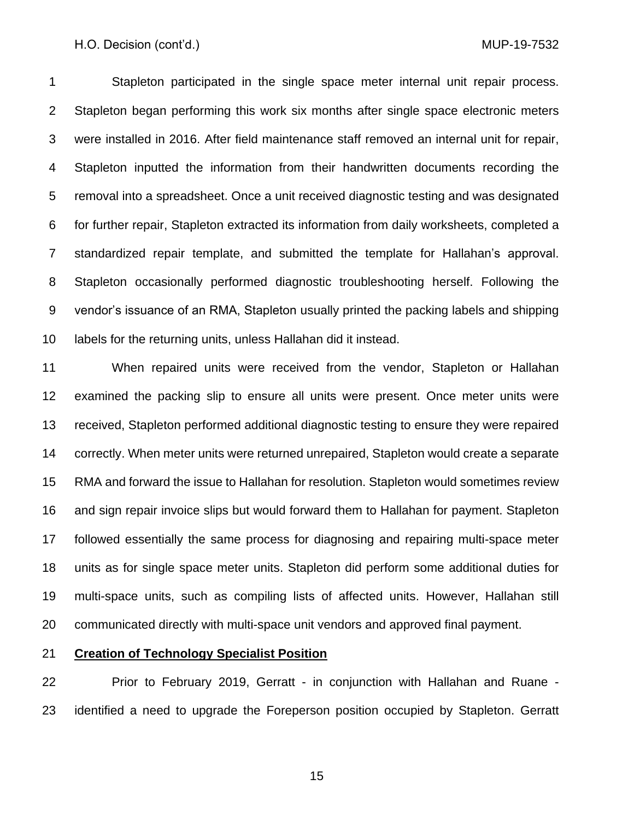Stapleton participated in the single space meter internal unit repair process. Stapleton began performing this work six months after single space electronic meters were installed in 2016. After field maintenance staff removed an internal unit for repair, Stapleton inputted the information from their handwritten documents recording the removal into a spreadsheet. Once a unit received diagnostic testing and was designated for further repair, Stapleton extracted its information from daily worksheets, completed a standardized repair template, and submitted the template for Hallahan's approval. Stapleton occasionally performed diagnostic troubleshooting herself. Following the vendor's issuance of an RMA, Stapleton usually printed the packing labels and shipping labels for the returning units, unless Hallahan did it instead.

 When repaired units were received from the vendor, Stapleton or Hallahan examined the packing slip to ensure all units were present. Once meter units were received, Stapleton performed additional diagnostic testing to ensure they were repaired correctly. When meter units were returned unrepaired, Stapleton would create a separate RMA and forward the issue to Hallahan for resolution. Stapleton would sometimes review and sign repair invoice slips but would forward them to Hallahan for payment. Stapleton followed essentially the same process for diagnosing and repairing multi-space meter units as for single space meter units. Stapleton did perform some additional duties for multi-space units, such as compiling lists of affected units. However, Hallahan still communicated directly with multi-space unit vendors and approved final payment.

## **Creation of Technology Specialist Position**

 Prior to February 2019, Gerratt - in conjunction with Hallahan and Ruane - identified a need to upgrade the Foreperson position occupied by Stapleton. Gerratt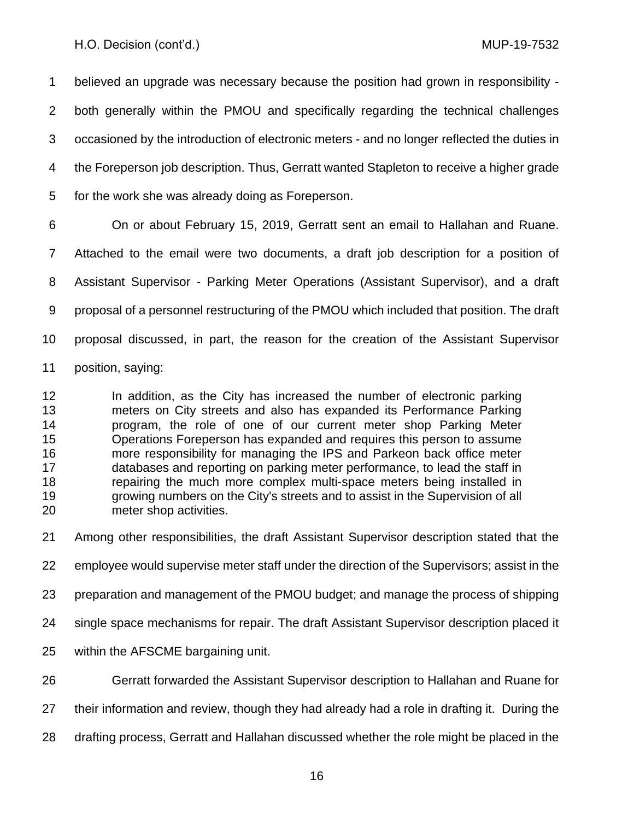believed an upgrade was necessary because the position had grown in responsibility - both generally within the PMOU and specifically regarding the technical challenges occasioned by the introduction of electronic meters - and no longer reflected the duties in the Foreperson job description. Thus, Gerratt wanted Stapleton to receive a higher grade for the work she was already doing as Foreperson.

 On or about February 15, 2019, Gerratt sent an email to Hallahan and Ruane. Attached to the email were two documents, a draft job description for a position of Assistant Supervisor - Parking Meter Operations (Assistant Supervisor), and a draft proposal of a personnel restructuring of the PMOU which included that position. The draft proposal discussed, in part, the reason for the creation of the Assistant Supervisor position, saying:

 In addition, as the City has increased the number of electronic parking meters on City streets and also has expanded its Performance Parking program, the role of one of our current meter shop Parking Meter Operations Foreperson has expanded and requires this person to assume more responsibility for managing the IPS and Parkeon back office meter databases and reporting on parking meter performance, to lead the staff in repairing the much more complex multi-space meters being installed in growing numbers on the City's streets and to assist in the Supervision of all meter shop activities.

Among other responsibilities, the draft Assistant Supervisor description stated that the

employee would supervise meter staff under the direction of the Supervisors; assist in the

preparation and management of the PMOU budget; and manage the process of shipping

single space mechanisms for repair. The draft Assistant Supervisor description placed it

within the AFSCME bargaining unit.

Gerratt forwarded the Assistant Supervisor description to Hallahan and Ruane for

their information and review, though they had already had a role in drafting it. During the

drafting process, Gerratt and Hallahan discussed whether the role might be placed in the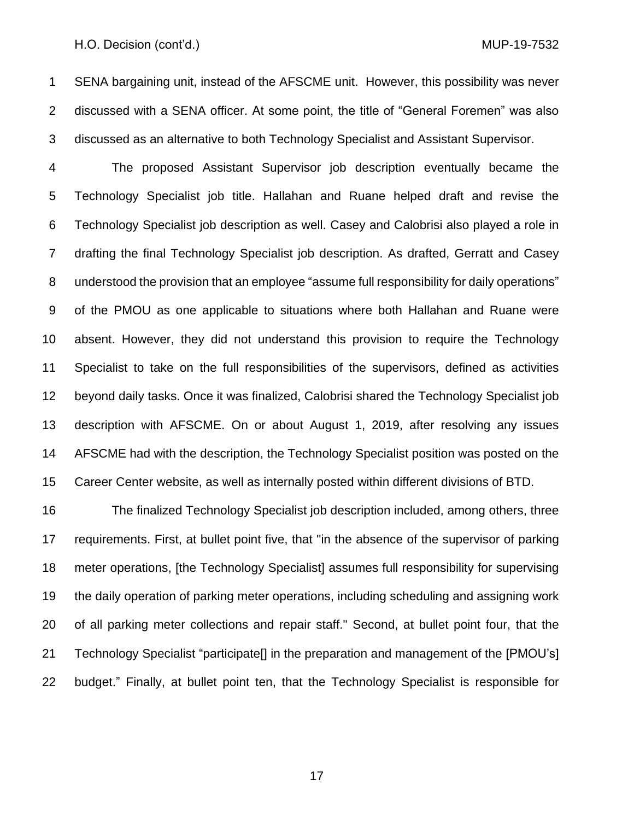SENA bargaining unit, instead of the AFSCME unit. However, this possibility was never discussed with a SENA officer. At some point, the title of "General Foremen" was also discussed as an alternative to both Technology Specialist and Assistant Supervisor.

 The proposed Assistant Supervisor job description eventually became the Technology Specialist job title. Hallahan and Ruane helped draft and revise the Technology Specialist job description as well. Casey and Calobrisi also played a role in drafting the final Technology Specialist job description. As drafted, Gerratt and Casey understood the provision that an employee "assume full responsibility for daily operations" of the PMOU as one applicable to situations where both Hallahan and Ruane were absent. However, they did not understand this provision to require the Technology Specialist to take on the full responsibilities of the supervisors, defined as activities beyond daily tasks. Once it was finalized, Calobrisi shared the Technology Specialist job description with AFSCME. On or about August 1, 2019, after resolving any issues AFSCME had with the description, the Technology Specialist position was posted on the Career Center website, as well as internally posted within different divisions of BTD.

 The finalized Technology Specialist job description included, among others, three requirements. First, at bullet point five, that "in the absence of the supervisor of parking 18 meter operations, [the Technology Specialist] assumes full responsibility for supervising the daily operation of parking meter operations, including scheduling and assigning work of all parking meter collections and repair staff." Second, at bullet point four, that the Technology Specialist "participate[] in the preparation and management of the [PMOU's] budget." Finally, at bullet point ten, that the Technology Specialist is responsible for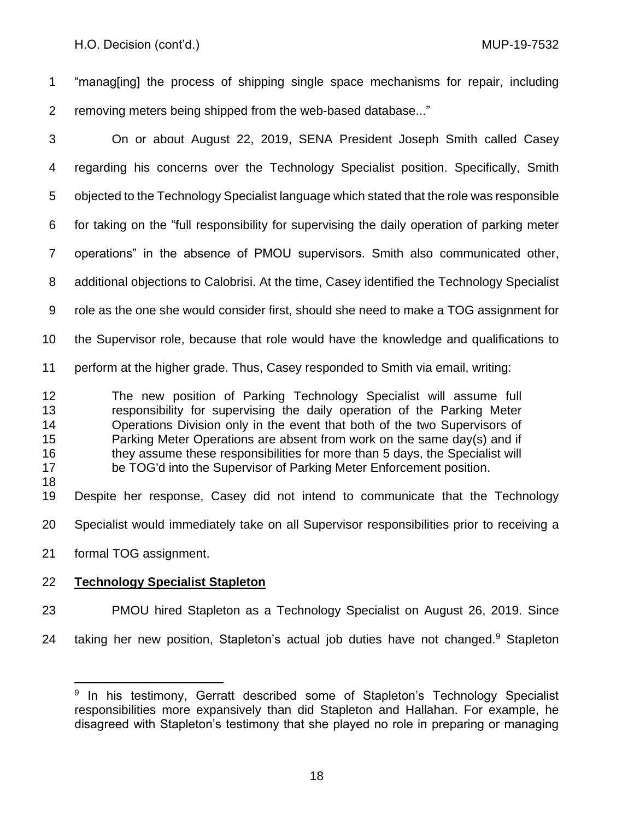"manag[ing] the process of shipping single space mechanisms for repair, including removing meters being shipped from the web-based database..."

 On or about August 22, 2019, SENA President Joseph Smith called Casey regarding his concerns over the Technology Specialist position. Specifically, Smith objected to the Technology Specialist language which stated that the role was responsible for taking on the "full responsibility for supervising the daily operation of parking meter operations" in the absence of PMOU supervisors. Smith also communicated other, additional objections to Calobrisi. At the time, Casey identified the Technology Specialist role as the one she would consider first, should she need to make a TOG assignment for the Supervisor role, because that role would have the knowledge and qualifications to perform at the higher grade. Thus, Casey responded to Smith via email, writing: The new position of Parking Technology Specialist will assume full responsibility for supervising the daily operation of the Parking Meter Operations Division only in the event that both of the two Supervisors of 15 Parking Meter Operations are absent from work on the same day(s) and if they assume these responsibilities for more than 5 days, the Specialist will be TOG'd into the Supervisor of Parking Meter Enforcement position. Despite her response, Casey did not intend to communicate that the Technology Specialist would immediately take on all Supervisor responsibilities prior to receiving a formal TOG assignment.

# **Technology Specialist Stapleton**

- PMOU hired Stapleton as a Technology Specialist on August 26, 2019. Since
- 24 taking her new position, Stapleton's actual job duties have not changed.<sup>9</sup> Stapleton

 In his testimony, Gerratt described some of Stapleton's Technology Specialist responsibilities more expansively than did Stapleton and Hallahan. For example, he disagreed with Stapleton's testimony that she played no role in preparing or managing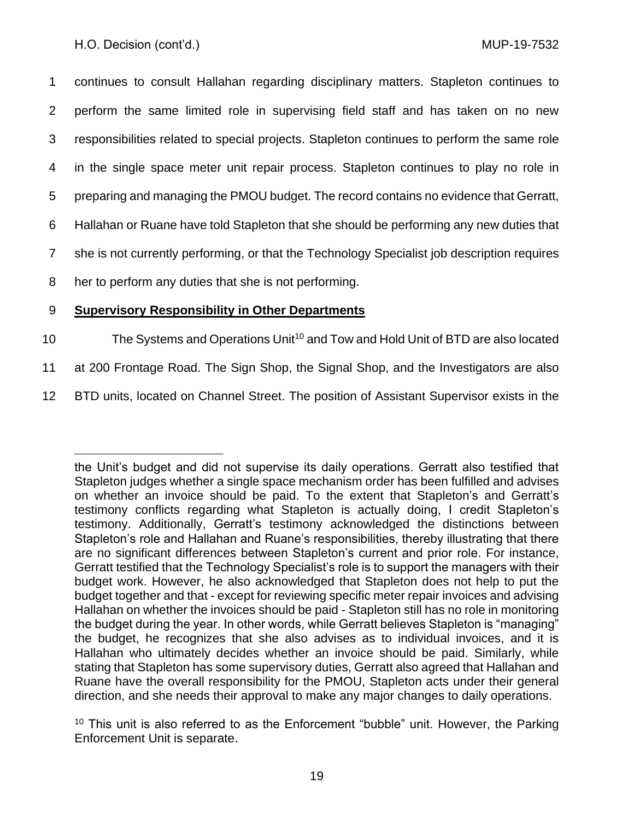continues to consult Hallahan regarding disciplinary matters. Stapleton continues to perform the same limited role in supervising field staff and has taken on no new responsibilities related to special projects. Stapleton continues to perform the same role in the single space meter unit repair process. Stapleton continues to play no role in preparing and managing the PMOU budget. The record contains no evidence that Gerratt, Hallahan or Ruane have told Stapleton that she should be performing any new duties that she is not currently performing, or that the Technology Specialist job description requires her to perform any duties that she is not performing.

# 9 **Supervisory Responsibility in Other Departments**

- 10 The Systems and Operations Unit<sup>10</sup> and Tow and Hold Unit of BTD are also located
- 11 at 200 Frontage Road. The Sign Shop, the Signal Shop, and the Investigators are also
- 12 BTD units, located on Channel Street. The position of Assistant Supervisor exists in the

the Unit's budget and did not supervise its daily operations. Gerratt also testified that Stapleton judges whether a single space mechanism order has been fulfilled and advises on whether an invoice should be paid. To the extent that Stapleton's and Gerratt's testimony conflicts regarding what Stapleton is actually doing, I credit Stapleton's testimony. Additionally, Gerratt's testimony acknowledged the distinctions between Stapleton's role and Hallahan and Ruane's responsibilities, thereby illustrating that there are no significant differences between Stapleton's current and prior role. For instance, Gerratt testified that the Technology Specialist's role is to support the managers with their budget work. However, he also acknowledged that Stapleton does not help to put the budget together and that - except for reviewing specific meter repair invoices and advising Hallahan on whether the invoices should be paid - Stapleton still has no role in monitoring the budget during the year. In other words, while Gerratt believes Stapleton is "managing" the budget, he recognizes that she also advises as to individual invoices, and it is Hallahan who ultimately decides whether an invoice should be paid. Similarly, while stating that Stapleton has some supervisory duties, Gerratt also agreed that Hallahan and Ruane have the overall responsibility for the PMOU, Stapleton acts under their general direction, and she needs their approval to make any major changes to daily operations.

 $10$  This unit is also referred to as the Enforcement "bubble" unit. However, the Parking Enforcement Unit is separate.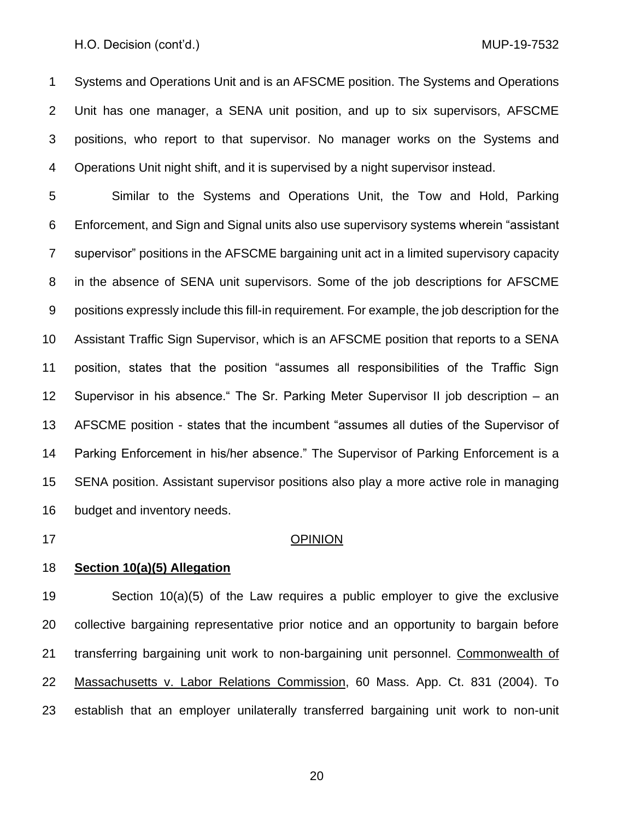Systems and Operations Unit and is an AFSCME position. The Systems and Operations Unit has one manager, a SENA unit position, and up to six supervisors, AFSCME positions, who report to that supervisor. No manager works on the Systems and Operations Unit night shift, and it is supervised by a night supervisor instead.

 Similar to the Systems and Operations Unit, the Tow and Hold, Parking Enforcement, and Sign and Signal units also use supervisory systems wherein "assistant supervisor" positions in the AFSCME bargaining unit act in a limited supervisory capacity in the absence of SENA unit supervisors. Some of the job descriptions for AFSCME positions expressly include this fill-in requirement. For example, the job description for the Assistant Traffic Sign Supervisor, which is an AFSCME position that reports to a SENA position, states that the position "assumes all responsibilities of the Traffic Sign Supervisor in his absence." The Sr. Parking Meter Supervisor II job description – an AFSCME position - states that the incumbent "assumes all duties of the Supervisor of Parking Enforcement in his/her absence." The Supervisor of Parking Enforcement is a SENA position. Assistant supervisor positions also play a more active role in managing budget and inventory needs.

#### OPINION

## **Section 10(a)(5) Allegation**

 Section 10(a)(5) of the Law requires a public employer to give the exclusive collective bargaining representative prior notice and an opportunity to bargain before 21 transferring bargaining unit work to non-bargaining unit personnel. Commonwealth of Massachusetts v. Labor Relations Commission, 60 Mass. App. Ct. 831 (2004). To establish that an employer unilaterally transferred bargaining unit work to non-unit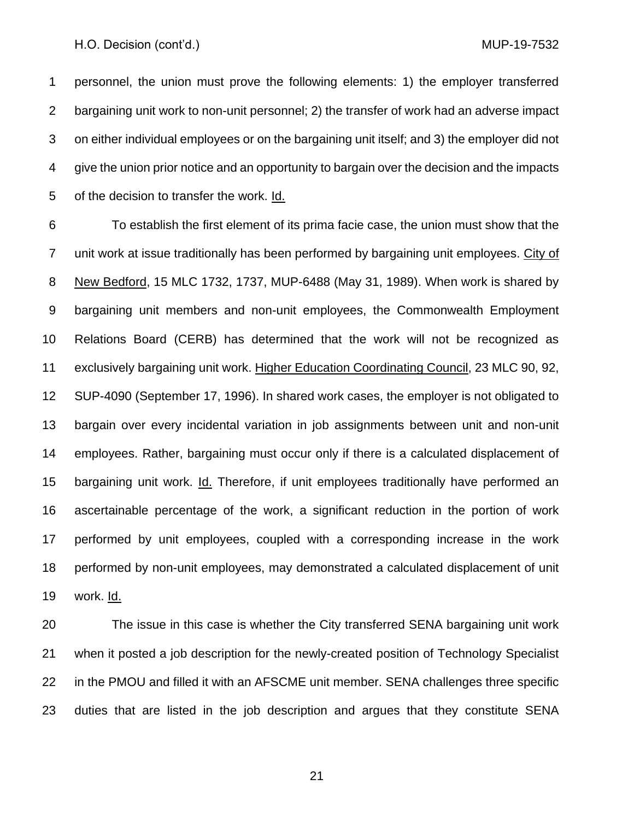personnel, the union must prove the following elements: 1) the employer transferred bargaining unit work to non-unit personnel; 2) the transfer of work had an adverse impact on either individual employees or on the bargaining unit itself; and 3) the employer did not give the union prior notice and an opportunity to bargain over the decision and the impacts of the decision to transfer the work. Id.

 To establish the first element of its prima facie case, the union must show that the unit work at issue traditionally has been performed by bargaining unit employees. City of New Bedford, 15 MLC 1732, 1737, MUP-6488 (May 31, 1989). When work is shared by bargaining unit members and non-unit employees, the Commonwealth Employment Relations Board (CERB) has determined that the work will not be recognized as exclusively bargaining unit work. Higher Education Coordinating Council, 23 MLC 90, 92, SUP-4090 (September 17, 1996). In shared work cases, the employer is not obligated to bargain over every incidental variation in job assignments between unit and non-unit employees. Rather, bargaining must occur only if there is a calculated displacement of 15 bargaining unit work. Id. Therefore, if unit employees traditionally have performed an ascertainable percentage of the work, a significant reduction in the portion of work performed by unit employees, coupled with a corresponding increase in the work performed by non-unit employees, may demonstrated a calculated displacement of unit work. Id.

 The issue in this case is whether the City transferred SENA bargaining unit work when it posted a job description for the newly-created position of Technology Specialist in the PMOU and filled it with an AFSCME unit member. SENA challenges three specific duties that are listed in the job description and argues that they constitute SENA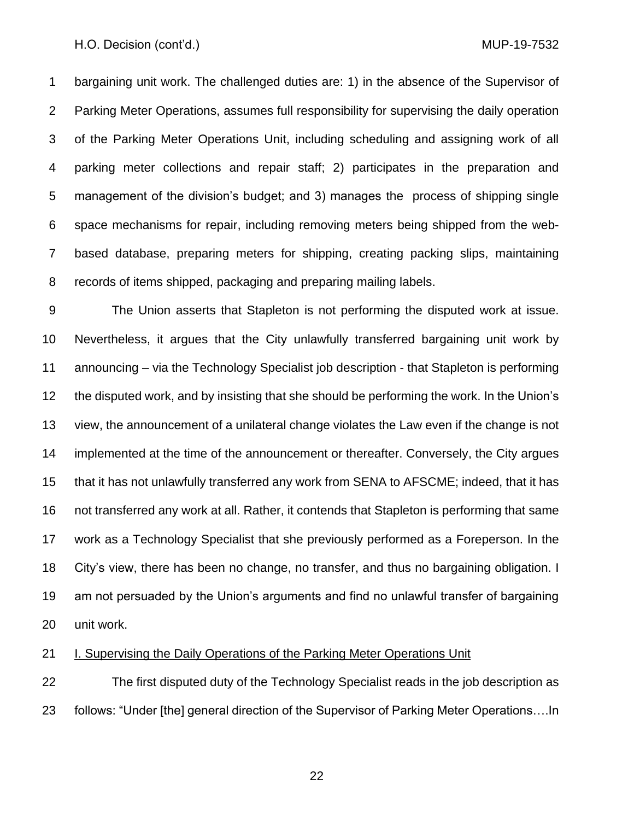bargaining unit work. The challenged duties are: 1) in the absence of the Supervisor of Parking Meter Operations, assumes full responsibility for supervising the daily operation of the Parking Meter Operations Unit, including scheduling and assigning work of all parking meter collections and repair staff; 2) participates in the preparation and management of the division's budget; and 3) manages the process of shipping single space mechanisms for repair, including removing meters being shipped from the web- based database, preparing meters for shipping, creating packing slips, maintaining records of items shipped, packaging and preparing mailing labels.

 The Union asserts that Stapleton is not performing the disputed work at issue. Nevertheless, it argues that the City unlawfully transferred bargaining unit work by announcing – via the Technology Specialist job description - that Stapleton is performing the disputed work, and by insisting that she should be performing the work. In the Union's view, the announcement of a unilateral change violates the Law even if the change is not implemented at the time of the announcement or thereafter. Conversely, the City argues that it has not unlawfully transferred any work from SENA to AFSCME; indeed, that it has not transferred any work at all. Rather, it contends that Stapleton is performing that same work as a Technology Specialist that she previously performed as a Foreperson. In the City's view, there has been no change, no transfer, and thus no bargaining obligation. I am not persuaded by the Union's arguments and find no unlawful transfer of bargaining unit work.

## I. Supervising the Daily Operations of the Parking Meter Operations Unit

 The first disputed duty of the Technology Specialist reads in the job description as follows: "Under [the] general direction of the Supervisor of Parking Meter Operations….In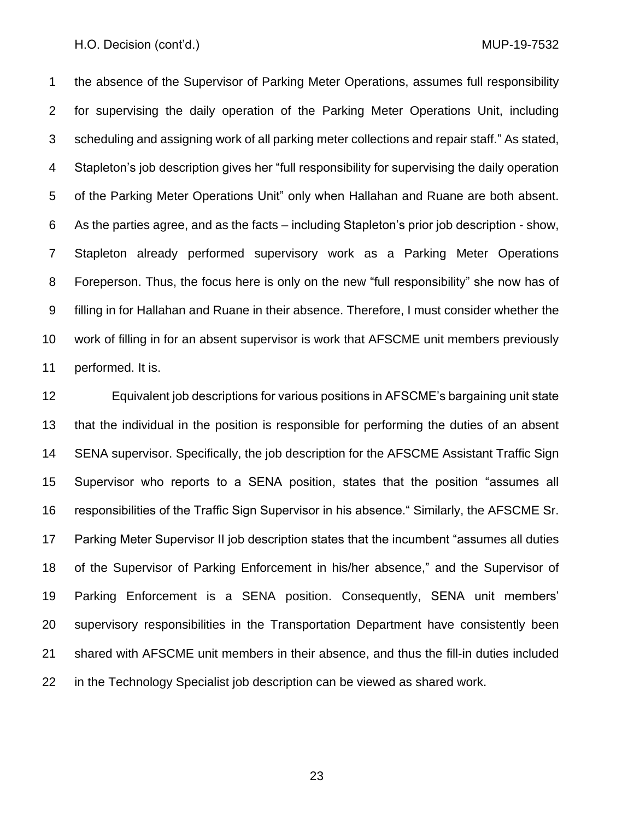the absence of the Supervisor of Parking Meter Operations, assumes full responsibility for supervising the daily operation of the Parking Meter Operations Unit, including scheduling and assigning work of all parking meter collections and repair staff." As stated, Stapleton's job description gives her "full responsibility for supervising the daily operation of the Parking Meter Operations Unit" only when Hallahan and Ruane are both absent. As the parties agree, and as the facts – including Stapleton's prior job description - show, Stapleton already performed supervisory work as a Parking Meter Operations Foreperson. Thus, the focus here is only on the new "full responsibility" she now has of filling in for Hallahan and Ruane in their absence. Therefore, I must consider whether the work of filling in for an absent supervisor is work that AFSCME unit members previously performed. It is.

 Equivalent job descriptions for various positions in AFSCME's bargaining unit state that the individual in the position is responsible for performing the duties of an absent SENA supervisor. Specifically, the job description for the AFSCME Assistant Traffic Sign Supervisor who reports to a SENA position, states that the position "assumes all responsibilities of the Traffic Sign Supervisor in his absence." Similarly, the AFSCME Sr. Parking Meter Supervisor II job description states that the incumbent "assumes all duties of the Supervisor of Parking Enforcement in his/her absence," and the Supervisor of Parking Enforcement is a SENA position. Consequently, SENA unit members' supervisory responsibilities in the Transportation Department have consistently been shared with AFSCME unit members in their absence, and thus the fill-in duties included in the Technology Specialist job description can be viewed as shared work.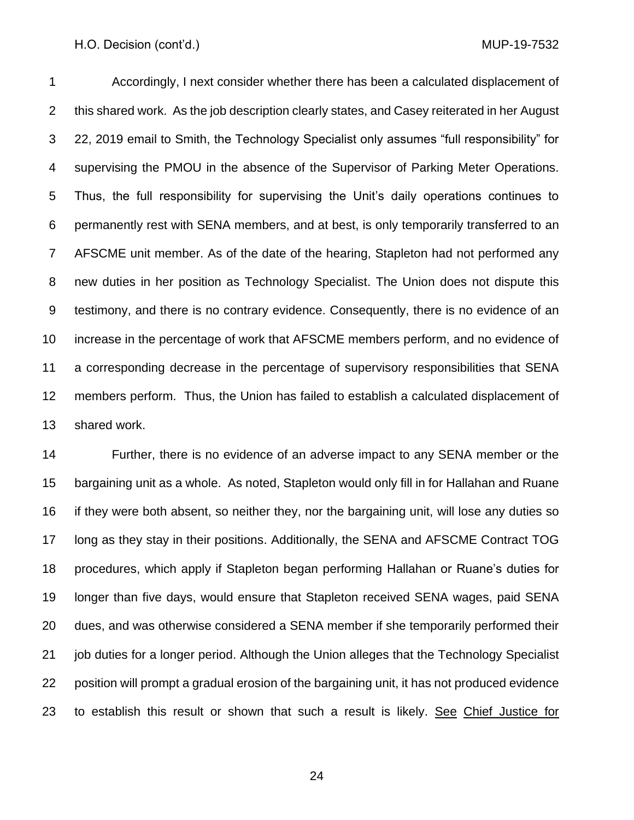Accordingly, I next consider whether there has been a calculated displacement of this shared work. As the job description clearly states, and Casey reiterated in her August 22, 2019 email to Smith, the Technology Specialist only assumes "full responsibility" for supervising the PMOU in the absence of the Supervisor of Parking Meter Operations. Thus, the full responsibility for supervising the Unit's daily operations continues to permanently rest with SENA members, and at best, is only temporarily transferred to an AFSCME unit member. As of the date of the hearing, Stapleton had not performed any new duties in her position as Technology Specialist. The Union does not dispute this testimony, and there is no contrary evidence. Consequently, there is no evidence of an increase in the percentage of work that AFSCME members perform, and no evidence of a corresponding decrease in the percentage of supervisory responsibilities that SENA members perform. Thus, the Union has failed to establish a calculated displacement of shared work.

 Further, there is no evidence of an adverse impact to any SENA member or the bargaining unit as a whole. As noted, Stapleton would only fill in for Hallahan and Ruane if they were both absent, so neither they, nor the bargaining unit, will lose any duties so long as they stay in their positions. Additionally, the SENA and AFSCME Contract TOG procedures, which apply if Stapleton began performing Hallahan or Ruane's duties for longer than five days, would ensure that Stapleton received SENA wages, paid SENA dues, and was otherwise considered a SENA member if she temporarily performed their job duties for a longer period. Although the Union alleges that the Technology Specialist position will prompt a gradual erosion of the bargaining unit, it has not produced evidence 23 to establish this result or shown that such a result is likely. See Chief Justice for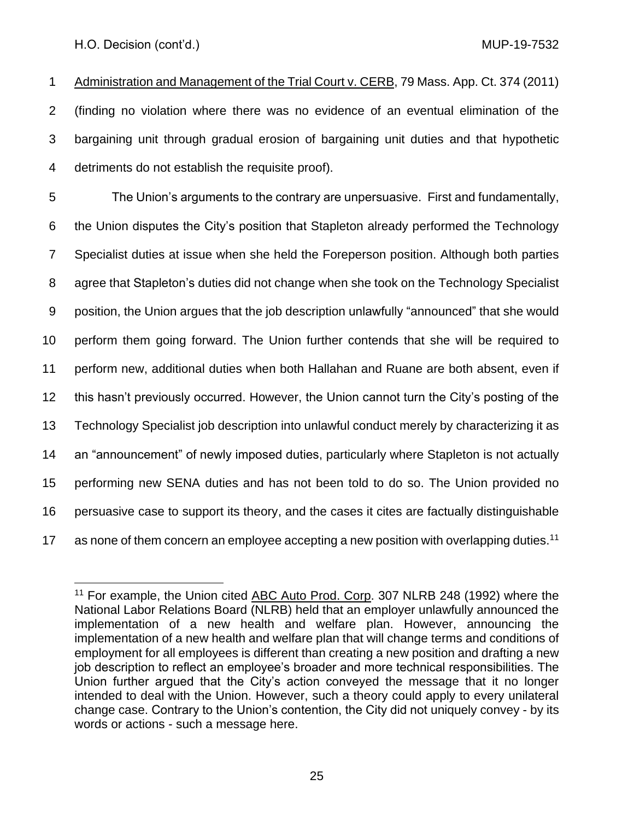Administration and Management of the Trial Court v. CERB, 79 Mass. App. Ct. 374 (2011) (finding no violation where there was no evidence of an eventual elimination of the bargaining unit through gradual erosion of bargaining unit duties and that hypothetic detriments do not establish the requisite proof).

 The Union's arguments to the contrary are unpersuasive. First and fundamentally, the Union disputes the City's position that Stapleton already performed the Technology Specialist duties at issue when she held the Foreperson position. Although both parties agree that Stapleton's duties did not change when she took on the Technology Specialist position, the Union argues that the job description unlawfully "announced" that she would perform them going forward. The Union further contends that she will be required to perform new, additional duties when both Hallahan and Ruane are both absent, even if this hasn't previously occurred. However, the Union cannot turn the City's posting of the Technology Specialist job description into unlawful conduct merely by characterizing it as an "announcement" of newly imposed duties, particularly where Stapleton is not actually performing new SENA duties and has not been told to do so. The Union provided no persuasive case to support its theory, and the cases it cites are factually distinguishable 17 as none of them concern an employee accepting a new position with overlapping duties.<sup>11</sup>

 For example, the Union cited ABC Auto Prod. Corp. 307 NLRB 248 (1992) where the National Labor Relations Board (NLRB) held that an employer unlawfully announced the implementation of a new health and welfare plan. However, announcing the implementation of a new health and welfare plan that will change terms and conditions of employment for all employees is different than creating a new position and drafting a new job description to reflect an employee's broader and more technical responsibilities. The Union further argued that the City's action conveyed the message that it no longer intended to deal with the Union. However, such a theory could apply to every unilateral change case. Contrary to the Union's contention, the City did not uniquely convey - by its words or actions - such a message here.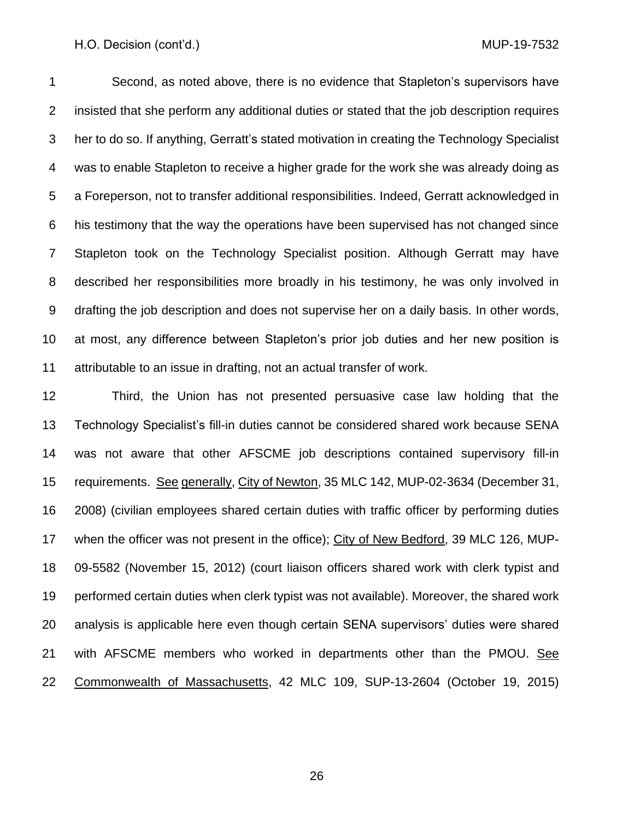Second, as noted above, there is no evidence that Stapleton's supervisors have insisted that she perform any additional duties or stated that the job description requires her to do so. If anything, Gerratt's stated motivation in creating the Technology Specialist was to enable Stapleton to receive a higher grade for the work she was already doing as a Foreperson, not to transfer additional responsibilities. Indeed, Gerratt acknowledged in his testimony that the way the operations have been supervised has not changed since Stapleton took on the Technology Specialist position. Although Gerratt may have described her responsibilities more broadly in his testimony, he was only involved in drafting the job description and does not supervise her on a daily basis. In other words, at most, any difference between Stapleton's prior job duties and her new position is attributable to an issue in drafting, not an actual transfer of work.

 Third, the Union has not presented persuasive case law holding that the Technology Specialist's fill-in duties cannot be considered shared work because SENA was not aware that other AFSCME job descriptions contained supervisory fill-in requirements. See generally, City of Newton, 35 MLC 142, MUP-02-3634 (December 31, 2008) (civilian employees shared certain duties with traffic officer by performing duties when the officer was not present in the office); City of New Bedford, 39 MLC 126, MUP- 09-5582 (November 15, 2012) (court liaison officers shared work with clerk typist and performed certain duties when clerk typist was not available). Moreover, the shared work analysis is applicable here even though certain SENA supervisors' duties were shared 21 with AFSCME members who worked in departments other than the PMOU. See Commonwealth of Massachusetts, 42 MLC 109, SUP-13-2604 (October 19, 2015)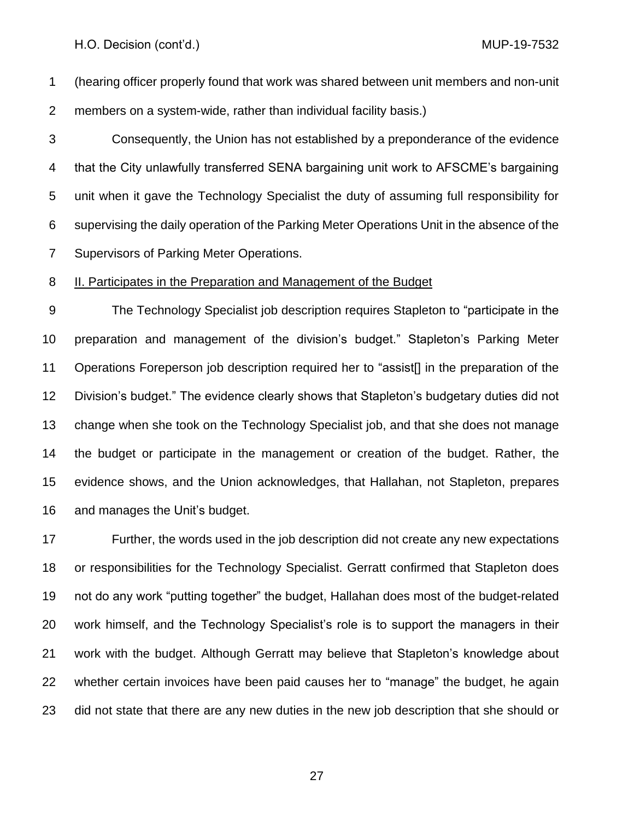(hearing officer properly found that work was shared between unit members and non-unit members on a system-wide, rather than individual facility basis.)

 Consequently, the Union has not established by a preponderance of the evidence that the City unlawfully transferred SENA bargaining unit work to AFSCME's bargaining unit when it gave the Technology Specialist the duty of assuming full responsibility for supervising the daily operation of the Parking Meter Operations Unit in the absence of the Supervisors of Parking Meter Operations.

## II. Participates in the Preparation and Management of the Budget

 The Technology Specialist job description requires Stapleton to "participate in the preparation and management of the division's budget." Stapleton's Parking Meter Operations Foreperson job description required her to "assist[] in the preparation of the Division's budget." The evidence clearly shows that Stapleton's budgetary duties did not change when she took on the Technology Specialist job, and that she does not manage the budget or participate in the management or creation of the budget. Rather, the evidence shows, and the Union acknowledges, that Hallahan, not Stapleton, prepares and manages the Unit's budget.

 Further, the words used in the job description did not create any new expectations or responsibilities for the Technology Specialist. Gerratt confirmed that Stapleton does not do any work "putting together" the budget, Hallahan does most of the budget-related work himself, and the Technology Specialist's role is to support the managers in their work with the budget. Although Gerratt may believe that Stapleton's knowledge about whether certain invoices have been paid causes her to "manage" the budget, he again did not state that there are any new duties in the new job description that she should or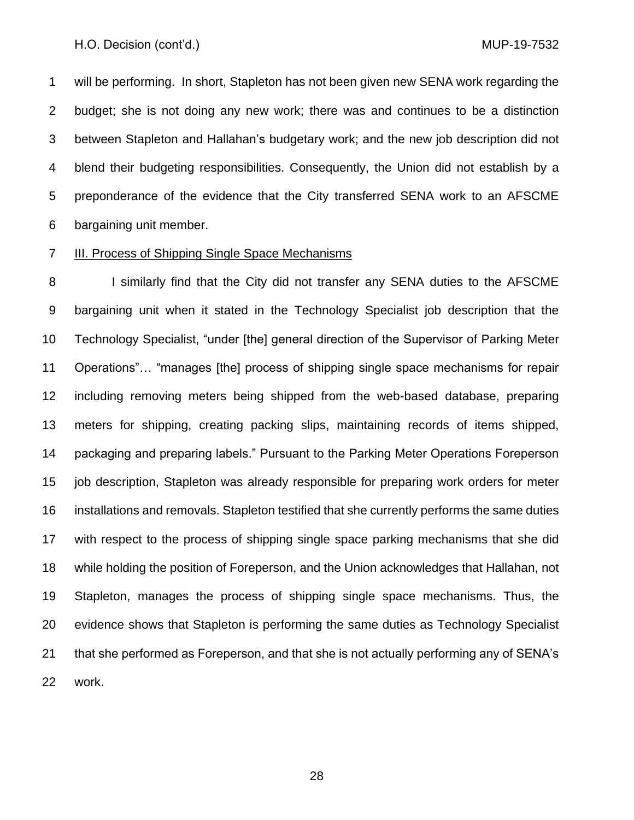will be performing. In short, Stapleton has not been given new SENA work regarding the budget; she is not doing any new work; there was and continues to be a distinction between Stapleton and Hallahan's budgetary work; and the new job description did not blend their budgeting responsibilities. Consequently, the Union did not establish by a preponderance of the evidence that the City transferred SENA work to an AFSCME bargaining unit member.

## III. Process of Shipping Single Space Mechanisms

8 I similarly find that the City did not transfer any SENA duties to the AFSCME bargaining unit when it stated in the Technology Specialist job description that the Technology Specialist, "under [the] general direction of the Supervisor of Parking Meter Operations"… "manages [the] process of shipping single space mechanisms for repair including removing meters being shipped from the web-based database, preparing meters for shipping, creating packing slips, maintaining records of items shipped, packaging and preparing labels." Pursuant to the Parking Meter Operations Foreperson job description, Stapleton was already responsible for preparing work orders for meter installations and removals. Stapleton testified that she currently performs the same duties with respect to the process of shipping single space parking mechanisms that she did while holding the position of Foreperson, and the Union acknowledges that Hallahan, not Stapleton, manages the process of shipping single space mechanisms. Thus, the evidence shows that Stapleton is performing the same duties as Technology Specialist that she performed as Foreperson, and that she is not actually performing any of SENA's work.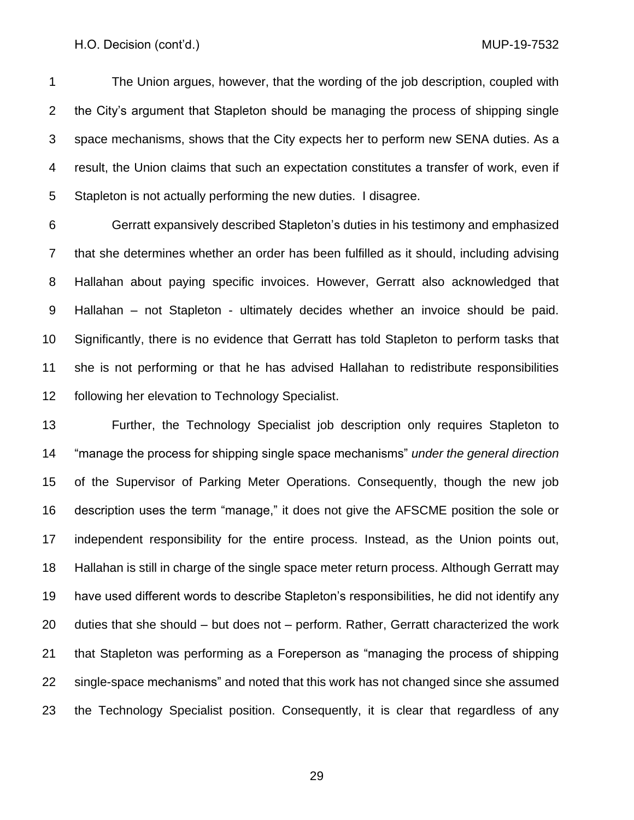The Union argues, however, that the wording of the job description, coupled with the City's argument that Stapleton should be managing the process of shipping single space mechanisms, shows that the City expects her to perform new SENA duties. As a result, the Union claims that such an expectation constitutes a transfer of work, even if Stapleton is not actually performing the new duties. I disagree.

 Gerratt expansively described Stapleton's duties in his testimony and emphasized that she determines whether an order has been fulfilled as it should, including advising Hallahan about paying specific invoices. However, Gerratt also acknowledged that Hallahan – not Stapleton - ultimately decides whether an invoice should be paid. Significantly, there is no evidence that Gerratt has told Stapleton to perform tasks that she is not performing or that he has advised Hallahan to redistribute responsibilities following her elevation to Technology Specialist.

 Further, the Technology Specialist job description only requires Stapleton to "manage the process for shipping single space mechanisms" *under the general direction* of the Supervisor of Parking Meter Operations. Consequently, though the new job description uses the term "manage," it does not give the AFSCME position the sole or independent responsibility for the entire process. Instead, as the Union points out, Hallahan is still in charge of the single space meter return process. Although Gerratt may have used different words to describe Stapleton's responsibilities, he did not identify any duties that she should – but does not – perform. Rather, Gerratt characterized the work that Stapleton was performing as a Foreperson as "managing the process of shipping single-space mechanisms" and noted that this work has not changed since she assumed the Technology Specialist position. Consequently, it is clear that regardless of any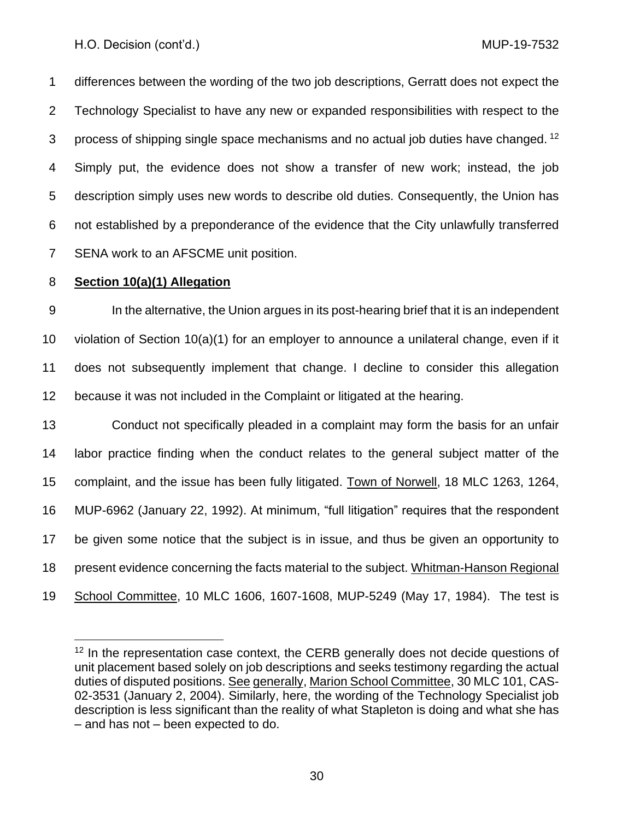differences between the wording of the two job descriptions, Gerratt does not expect the Technology Specialist to have any new or expanded responsibilities with respect to the 3 process of shipping single space mechanisms and no actual job duties have changed. <sup>12</sup> Simply put, the evidence does not show a transfer of new work; instead, the job description simply uses new words to describe old duties. Consequently, the Union has not established by a preponderance of the evidence that the City unlawfully transferred SENA work to an AFSCME unit position.

## **Section 10(a)(1) Allegation**

 In the alternative, the Union argues in its post-hearing brief that it is an independent violation of Section 10(a)(1) for an employer to announce a unilateral change, even if it does not subsequently implement that change. I decline to consider this allegation because it was not included in the Complaint or litigated at the hearing.

 Conduct not specifically pleaded in a complaint may form the basis for an unfair labor practice finding when the conduct relates to the general subject matter of the 15 complaint, and the issue has been fully litigated. Town of Norwell, 18 MLC 1263, 1264, MUP-6962 (January 22, 1992). At minimum, "full litigation" requires that the respondent be given some notice that the subject is in issue, and thus be given an opportunity to present evidence concerning the facts material to the subject. Whitman-Hanson Regional School Committee, 10 MLC 1606, 1607-1608, MUP-5249 (May 17, 1984). The test is

 In the representation case context, the CERB generally does not decide questions of unit placement based solely on job descriptions and seeks testimony regarding the actual duties of disputed positions. See generally, Marion School Committee, 30 MLC 101, CAS-02-3531 (January 2, 2004). Similarly, here, the wording of the Technology Specialist job description is less significant than the reality of what Stapleton is doing and what she has – and has not – been expected to do.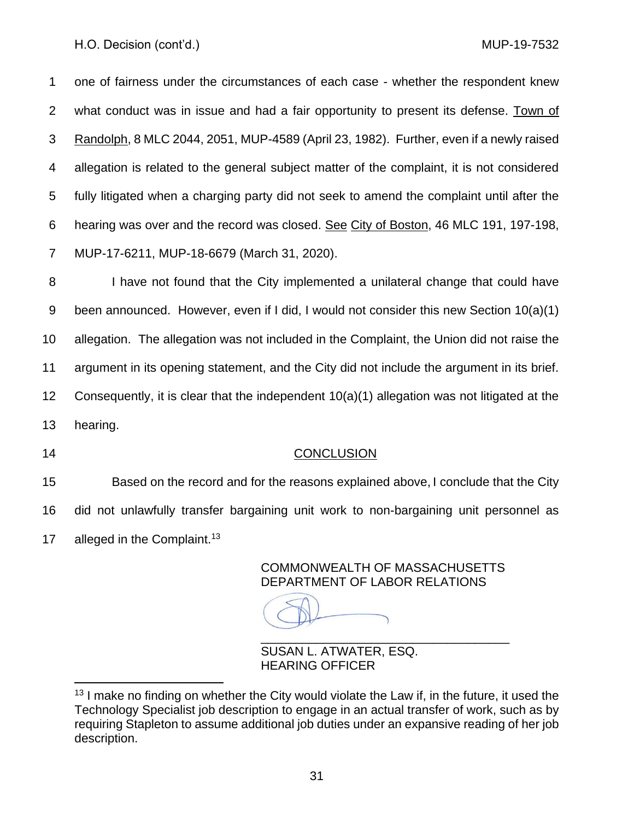one of fairness under the circumstances of each case - whether the respondent knew what conduct was in issue and had a fair opportunity to present its defense. Town of Randolph, 8 MLC 2044, 2051, MUP-4589 (April 23, 1982). Further, even if a newly raised allegation is related to the general subject matter of the complaint, it is not considered fully litigated when a charging party did not seek to amend the complaint until after the hearing was over and the record was closed. See City of Boston, 46 MLC 191, 197-198, MUP-17-6211, MUP-18-6679 (March 31, 2020).

 I have not found that the City implemented a unilateral change that could have been announced. However, even if I did, I would not consider this new Section 10(a)(1) allegation. The allegation was not included in the Complaint, the Union did not raise the argument in its opening statement, and the City did not include the argument in its brief. 12 Consequently, it is clear that the independent  $10(a)(1)$  allegation was not litigated at the hearing.

## CONCLUSION

 Based on the record and for the reasons explained above, I conclude that the City did not unlawfully transfer bargaining unit work to non-bargaining unit personnel as 17 alleged in the Complaint.<sup>13</sup>

> COMMONWEALTH OF MASSACHUSETTS DEPARTMENT OF LABOR RELATIONS

\_\_\_\_\_\_\_\_\_\_\_\_\_\_\_\_\_\_\_\_\_\_\_\_\_\_\_\_\_\_\_\_\_\_\_\_

SUSAN L. ATWATER, ESQ. HEARING OFFICER

 I make no finding on whether the City would violate the Law if, in the future, it used the Technology Specialist job description to engage in an actual transfer of work, such as by requiring Stapleton to assume additional job duties under an expansive reading of her job description.